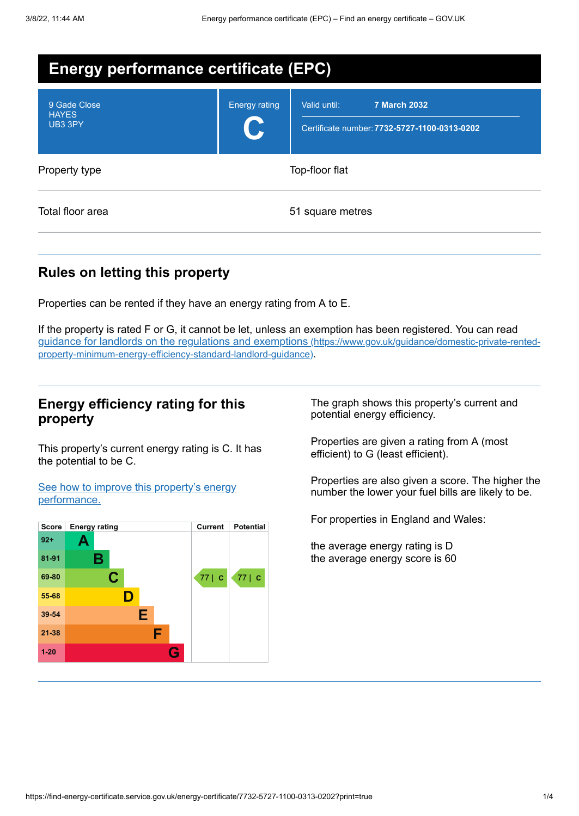| <b>Energy performance certificate (EPC)</b> |                      |                                                                                     |  |  |  |
|---------------------------------------------|----------------------|-------------------------------------------------------------------------------------|--|--|--|
| 9 Gade Close<br><b>HAYES</b><br>UB3 3PY     | <b>Energy rating</b> | <b>7 March 2032</b><br>Valid until:<br>Certificate number: 7732-5727-1100-0313-0202 |  |  |  |
| Property type                               |                      | Top-floor flat                                                                      |  |  |  |
| Total floor area                            |                      | 51 square metres                                                                    |  |  |  |

# **Rules on letting this property**

Properties can be rented if they have an energy rating from A to E.

If the property is rated F or G, it cannot be let, unless an exemption has been registered. You can read guidance for landlords on the regulations and exemptions (https://www.gov.uk/guidance/domestic-private-rented[property-minimum-energy-efficiency-standard-landlord-guidance\)](https://www.gov.uk/guidance/domestic-private-rented-property-minimum-energy-efficiency-standard-landlord-guidance).

# **Energy efficiency rating for this property**

This property's current energy rating is C. It has the potential to be C.

See how to improve this property's energy [performance.](#page-2-0)



The graph shows this property's current and potential energy efficiency.

Properties are given a rating from A (most efficient) to G (least efficient).

Properties are also given a score. The higher the number the lower your fuel bills are likely to be.

For properties in England and Wales:

the average energy rating is D the average energy score is 60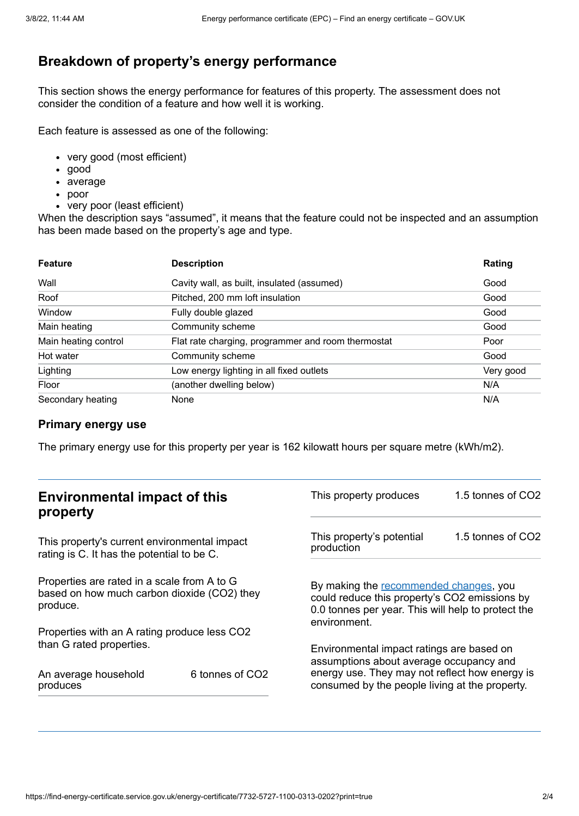# **Breakdown of property's energy performance**

This section shows the energy performance for features of this property. The assessment does not consider the condition of a feature and how well it is working.

Each feature is assessed as one of the following:

- very good (most efficient)
- good
- average
- poor
- very poor (least efficient)

When the description says "assumed", it means that the feature could not be inspected and an assumption has been made based on the property's age and type.

| <b>Feature</b>       | <b>Description</b>                                 | Rating    |
|----------------------|----------------------------------------------------|-----------|
| Wall                 | Cavity wall, as built, insulated (assumed)         | Good      |
| Roof                 | Pitched, 200 mm loft insulation                    | Good      |
| Window               | Fully double glazed                                | Good      |
| Main heating         | Community scheme                                   | Good      |
| Main heating control | Flat rate charging, programmer and room thermostat | Poor      |
| Hot water            | Community scheme                                   | Good      |
| Lighting             | Low energy lighting in all fixed outlets           | Very good |
| Floor                | (another dwelling below)                           | N/A       |
| Secondary heating    | None                                               | N/A       |

## **Primary energy use**

The primary energy use for this property per year is 162 kilowatt hours per square metre (kWh/m2).

| <b>Environmental impact of this</b><br>property                                                        |                 | This property produces                                                                                                                                                                   | 1.5 tonnes of CO2 |
|--------------------------------------------------------------------------------------------------------|-----------------|------------------------------------------------------------------------------------------------------------------------------------------------------------------------------------------|-------------------|
| This property's current environmental impact<br>rating is C. It has the potential to be C.             |                 | This property's potential<br>production                                                                                                                                                  | 1.5 tonnes of CO2 |
| Properties are rated in a scale from A to G<br>based on how much carbon dioxide (CO2) they<br>produce. |                 | By making the recommended changes, you<br>could reduce this property's CO2 emissions by<br>0.0 tonnes per year. This will help to protect the<br>environment.                            |                   |
| Properties with an A rating produce less CO2                                                           |                 |                                                                                                                                                                                          |                   |
| than G rated properties.<br>An average household<br>produces                                           | 6 tonnes of CO2 | Environmental impact ratings are based on<br>assumptions about average occupancy and<br>energy use. They may not reflect how energy is<br>consumed by the people living at the property. |                   |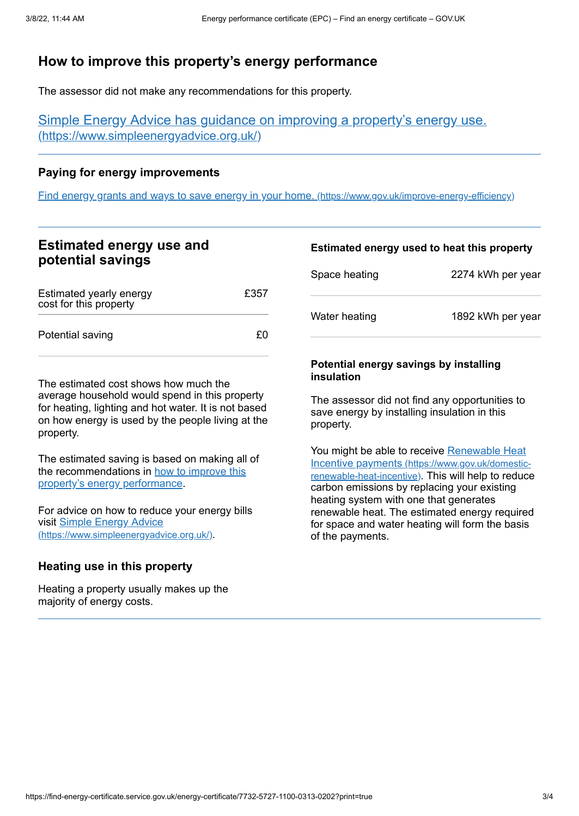# <span id="page-2-0"></span>**How to improve this property's energy performance**

The assessor did not make any recommendations for this property.

Simple Energy Advice has guidance on improving a property's energy use. [\(https://www.simpleenergyadvice.org.uk/\)](https://www.simpleenergyadvice.org.uk/)

## **Paying for energy improvements**

Find energy grants and ways to save energy in your home. [\(https://www.gov.uk/improve-energy-efficiency\)](https://www.gov.uk/improve-energy-efficiency)

# **Estimated energy use and potential savings**

| Estimated yearly energy<br>cost for this property | £357 |
|---------------------------------------------------|------|
| Potential saving                                  | £Ω   |

The estimated cost shows how much the average household would spend in this property for heating, lighting and hot water. It is not based on how energy is used by the people living at the property.

The estimated saving is based on making all of the [recommendations](#page-2-0) in how to improve this property's energy performance.

For advice on how to reduce your energy bills visit Simple Energy Advice [\(https://www.simpleenergyadvice.org.uk/\)](https://www.simpleenergyadvice.org.uk/).

## **Heating use in this property**

Heating a property usually makes up the majority of energy costs.

### **Estimated energy used to heat this property**

| Space heating | 2274 kWh per year |
|---------------|-------------------|
| Water heating | 1892 kWh per year |

#### **Potential energy savings by installing insulation**

The assessor did not find any opportunities to save energy by installing insulation in this property.

You might be able to receive Renewable Heat Incentive payments [\(https://www.gov.uk/domestic](https://www.gov.uk/domestic-renewable-heat-incentive)renewable-heat-incentive). This will help to reduce carbon emissions by replacing your existing heating system with one that generates renewable heat. The estimated energy required for space and water heating will form the basis of the payments.